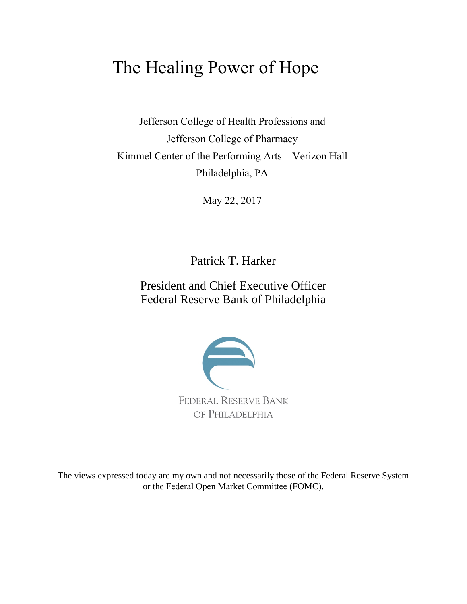## The Healing Power of Hope

Jefferson College of Health Professions and Jefferson College of Pharmacy Kimmel Center of the Performing Arts – Verizon Hall Philadelphia, PA

May 22, 2017

Patrick T. Harker

President and Chief Executive Officer Federal Reserve Bank of Philadelphia



The views expressed today are my own and not necessarily those of the Federal Reserve System or the Federal Open Market Committee (FOMC).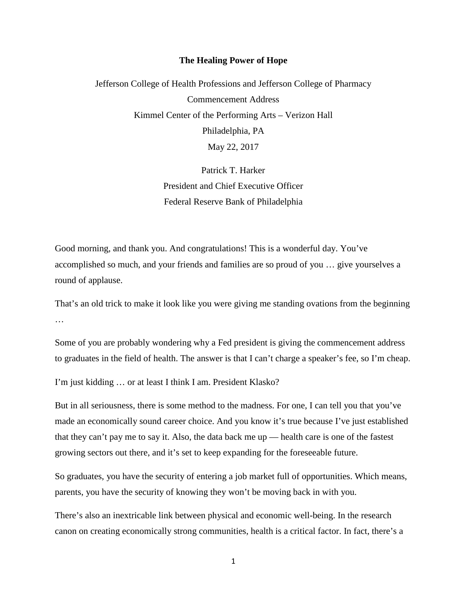## **The Healing Power of Hope**

Jefferson College of Health Professions and Jefferson College of Pharmacy Commencement Address Kimmel Center of the Performing Arts – Verizon Hall Philadelphia, PA May 22, 2017

> Patrick T. Harker President and Chief Executive Officer Federal Reserve Bank of Philadelphia

Good morning, and thank you. And congratulations! This is a wonderful day. You've accomplished so much, and your friends and families are so proud of you … give yourselves a round of applause.

That's an old trick to make it look like you were giving me standing ovations from the beginning …

Some of you are probably wondering why a Fed president is giving the commencement address to graduates in the field of health. The answer is that I can't charge a speaker's fee, so I'm cheap.

I'm just kidding … or at least I think I am. President Klasko?

But in all seriousness, there is some method to the madness. For one, I can tell you that you've made an economically sound career choice. And you know it's true because I've just established that they can't pay me to say it. Also, the data back me up — health care is one of the fastest growing sectors out there, and it's set to keep expanding for the foreseeable future.

So graduates, you have the security of entering a job market full of opportunities. Which means, parents, you have the security of knowing they won't be moving back in with you.

There's also an inextricable link between physical and economic well-being. In the research canon on creating economically strong communities, health is a critical factor. In fact, there's a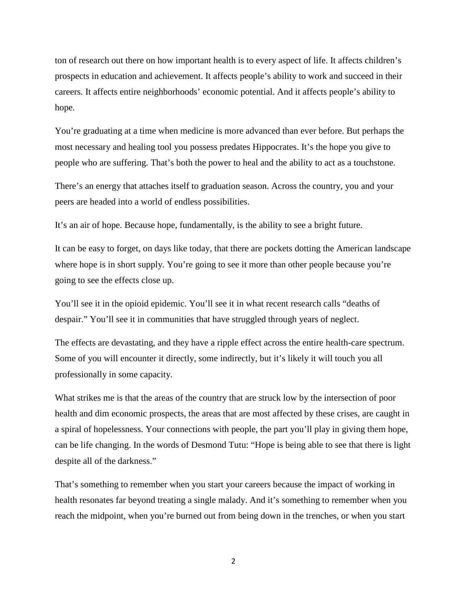ton of research out there on how important health is to every aspect of life. It affects children's prospects in education and achievement. It affects people's ability to work and succeed in their careers. It affects entire neighborhoods' economic potential. And it affects people's ability to hope.

You're graduating at a time when medicine is more advanced than ever before. But perhaps the most necessary and healing tool you possess predates Hippocrates. It's the hope you give to people who are suffering. That's both the power to heal and the ability to act as a touchstone.

There's an energy that attaches itself to graduation season. Across the country, you and your peers are headed into a world of endless possibilities.

It's an air of hope. Because hope, fundamentally, is the ability to see a bright future.

It can be easy to forget, on days like today, that there are pockets dotting the American landscape where hope is in short supply. You're going to see it more than other people because you're going to see the effects close up.

You'll see it in the opioid epidemic. You'll see it in what recent research calls "deaths of despair." You'll see it in communities that have struggled through years of neglect.

The effects are devastating, and they have a ripple effect across the entire health-care spectrum. Some of you will encounter it directly, some indirectly, but it's likely it will touch you all professionally in some capacity.

What strikes me is that the areas of the country that are struck low by the intersection of poor health and dim economic prospects, the areas that are most affected by these crises, are caught in a spiral of hopelessness. Your connections with people, the part you'll play in giving them hope, can be life changing. In the words of Desmond Tutu: "Hope is being able to see that there is light despite all of the darkness."

That's something to remember when you start your careers because the impact of working in health resonates far beyond treating a single malady. And it's something to remember when you reach the midpoint, when you're burned out from being down in the trenches, or when you start

2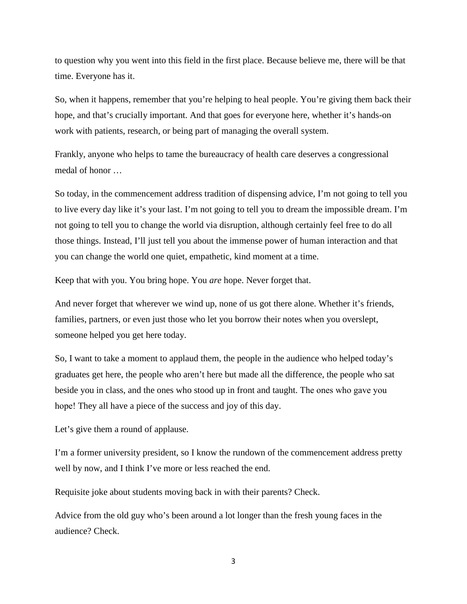to question why you went into this field in the first place. Because believe me, there will be that time. Everyone has it.

So, when it happens, remember that you're helping to heal people. You're giving them back their hope, and that's crucially important. And that goes for everyone here, whether it's hands-on work with patients, research, or being part of managing the overall system.

Frankly, anyone who helps to tame the bureaucracy of health care deserves a congressional medal of honor …

So today, in the commencement address tradition of dispensing advice, I'm not going to tell you to live every day like it's your last. I'm not going to tell you to dream the impossible dream. I'm not going to tell you to change the world via disruption, although certainly feel free to do all those things. Instead, I'll just tell you about the immense power of human interaction and that you can change the world one quiet, empathetic, kind moment at a time.

Keep that with you. You bring hope. You *are* hope. Never forget that.

And never forget that wherever we wind up, none of us got there alone. Whether it's friends, families, partners, or even just those who let you borrow their notes when you overslept, someone helped you get here today.

So, I want to take a moment to applaud them, the people in the audience who helped today's graduates get here, the people who aren't here but made all the difference, the people who sat beside you in class, and the ones who stood up in front and taught. The ones who gave you hope! They all have a piece of the success and joy of this day.

Let's give them a round of applause.

I'm a former university president, so I know the rundown of the commencement address pretty well by now, and I think I've more or less reached the end.

Requisite joke about students moving back in with their parents? Check.

Advice from the old guy who's been around a lot longer than the fresh young faces in the audience? Check.